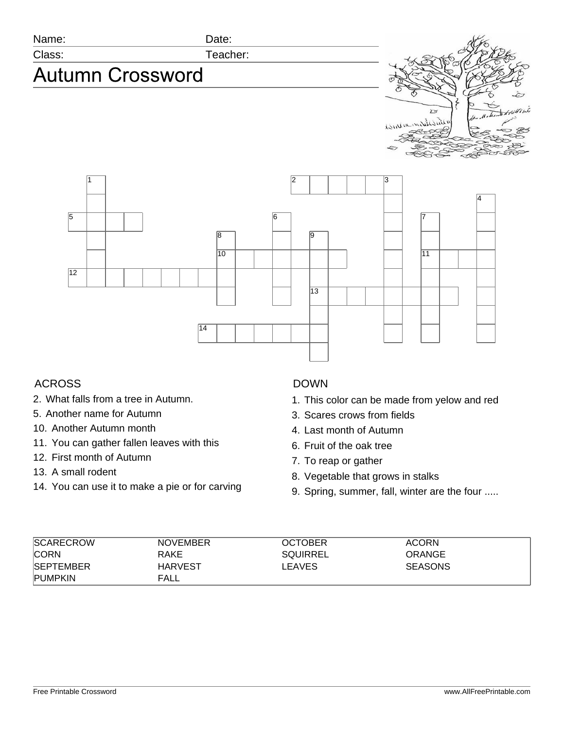

## ACROSS

- 2. What falls from a tree in Autumn.
- 5. Another name for Autumn
- 10. Another Autumn month
- 11. You can gather fallen leaves with this
- 12. First month of Autumn
- 13. A small rodent
- 14. You can use it to make a pie or for carving

## DOWN

- 1. This color can be made from yelow and red
- 3. Scares crows from fields
- 4. Last month of Autumn
- 6. Fruit of the oak tree
- 7. To reap or gather
- 8. Vegetable that grows in stalks
- 9. Spring, summer, fall, winter are the four .....

| <b>SCARECROW</b> | <b>NOVEMBER</b> | <b>OCTOBER</b> | <b>ACORN</b>   |
|------------------|-----------------|----------------|----------------|
| <b>CORN</b>      | RAKE            | SQUIRREL       | ORANGE         |
| <b>SEPTEMBER</b> | <b>HARVEST</b>  | <b>LEAVES</b>  | <b>SEASONS</b> |
| <b>PUMPKIN</b>   | FALL            |                |                |